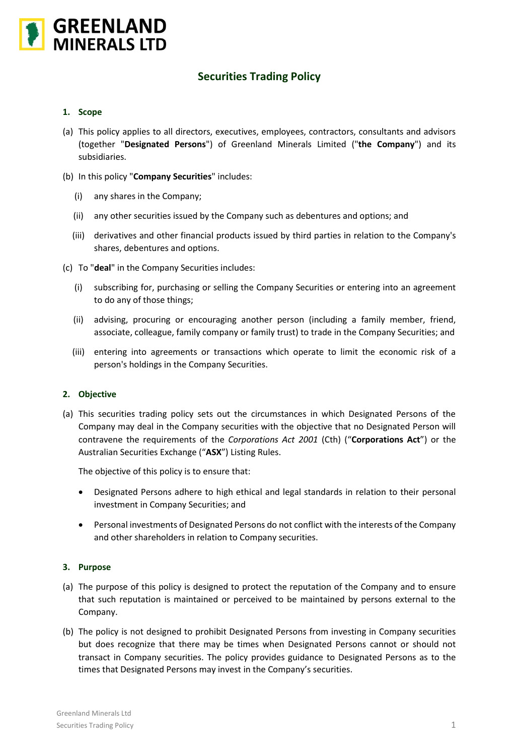

# **Securities Trading Policy**

#### **1. Scope**

- (a) This policy applies to all directors, executives, employees, contractors, consultants and advisors (together "**Designated Persons**") of Greenland Minerals Limited ("**the Company**") and its subsidiaries.
- (b) In this policy "**Company Securities**" includes:
	- (i) any shares in the Company;
	- (ii) any other securities issued by the Company such as debentures and options; and
	- (iii) derivatives and other financial products issued by third parties in relation to the Company's shares, debentures and options.
- (c) To "**deal**" in the Company Securities includes:
	- (i) subscribing for, purchasing or selling the Company Securities or entering into an agreement to do any of those things;
	- (ii) advising, procuring or encouraging another person (including a family member, friend, associate, colleague, family company or family trust) to trade in the Company Securities; and
	- (iii) entering into agreements or transactions which operate to limit the economic risk of a person's holdings in the Company Securities.

#### **2. Objective**

(a) This securities trading policy sets out the circumstances in which Designated Persons of the Company may deal in the Company securities with the objective that no Designated Person will contravene the requirements of the *Corporations Act 2001* (Cth) ("**Corporations Act**") or the Australian Securities Exchange ("**ASX**") Listing Rules.

The objective of this policy is to ensure that:

- Designated Persons adhere to high ethical and legal standards in relation to their personal investment in Company Securities; and
- Personal investments of Designated Persons do not conflict with the interests of the Company and other shareholders in relation to Company securities.

# **3. Purpose**

- (a) The purpose of this policy is designed to protect the reputation of the Company and to ensure that such reputation is maintained or perceived to be maintained by persons external to the Company.
- (b) The policy is not designed to prohibit Designated Persons from investing in Company securities but does recognize that there may be times when Designated Persons cannot or should not transact in Company securities. The policy provides guidance to Designated Persons as to the times that Designated Persons may invest in the Company's securities.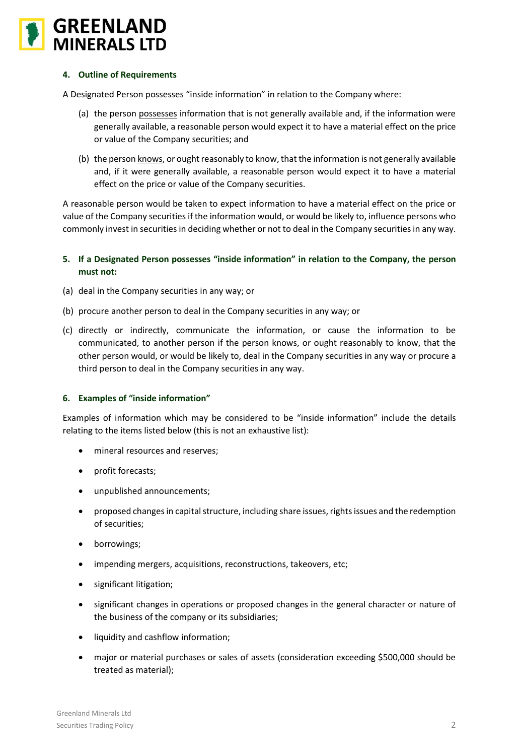

# **4. Outline of Requirements**

A Designated Person possesses "inside information" in relation to the Company where:

- (a) the person possesses information that is not generally available and, if the information were generally available, a reasonable person would expect it to have a material effect on the price or value of the Company securities; and
- (b) the person knows, or ought reasonably to know, that the information is not generally available and, if it were generally available, a reasonable person would expect it to have a material effect on the price or value of the Company securities.

A reasonable person would be taken to expect information to have a material effect on the price or value of the Company securities if the information would, or would be likely to, influence persons who commonly invest in securities in deciding whether or not to deal in the Company securities in any way.

- **5. If a Designated Person possesses "inside information" in relation to the Company, the person must not:**
- (a) deal in the Company securities in any way; or
- (b) procure another person to deal in the Company securities in any way; or
- (c) directly or indirectly, communicate the information, or cause the information to be communicated, to another person if the person knows, or ought reasonably to know, that the other person would, or would be likely to, deal in the Company securities in any way or procure a third person to deal in the Company securities in any way.

# **6. Examples of "inside information"**

Examples of information which may be considered to be "inside information" include the details relating to the items listed below (this is not an exhaustive list):

- mineral resources and reserves;
- profit forecasts;
- unpublished announcements;
- proposed changes in capital structure, including share issues, rights issues and the redemption of securities;
- borrowings;
- impending mergers, acquisitions, reconstructions, takeovers, etc;
- significant litigation;
- significant changes in operations or proposed changes in the general character or nature of the business of the company or its subsidiaries;
- liquidity and cashflow information;
- major or material purchases or sales of assets (consideration exceeding \$500,000 should be treated as material);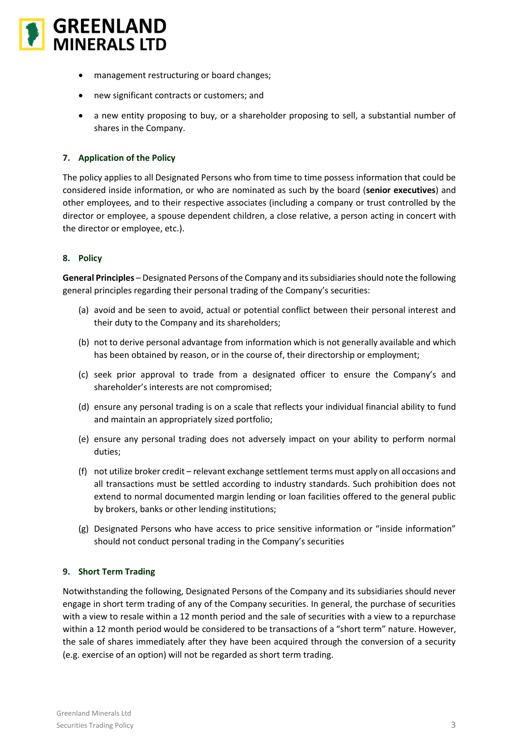

- management restructuring or board changes;
- new significant contracts or customers; and
- a new entity proposing to buy, or a shareholder proposing to sell, a substantial number of shares in the Company.

# **7. Application of the Policy**

The policy applies to all Designated Persons who from time to time possess information that could be considered inside information, or who are nominated as such by the board (**senior executives**) and other employees, and to their respective associates (including a company or trust controlled by the director or employee, a spouse dependent children, a close relative, a person acting in concert with the director or employee, etc.).

# **8. Policy**

**General Principles** – Designated Persons of the Company and its subsidiaries should note the following general principles regarding their personal trading of the Company's securities:

- (a) avoid and be seen to avoid, actual or potential conflict between their personal interest and their duty to the Company and its shareholders;
- (b) not to derive personal advantage from information which is not generally available and which has been obtained by reason, or in the course of, their directorship or employment;
- (c) seek prior approval to trade from a designated officer to ensure the Company's and shareholder's interests are not compromised;
- (d) ensure any personal trading is on a scale that reflects your individual financial ability to fund and maintain an appropriately sized portfolio;
- (e) ensure any personal trading does not adversely impact on your ability to perform normal duties;
- (f) not utilize broker credit relevant exchange settlement terms must apply on all occasions and all transactions must be settled according to industry standards. Such prohibition does not extend to normal documented margin lending or loan facilities offered to the general public by brokers, banks or other lending institutions;
- (g) Designated Persons who have access to price sensitive information or "inside information" should not conduct personal trading in the Company's securities

# **9. Short Term Trading**

Notwithstanding the following, Designated Persons of the Company and its subsidiaries should never engage in short term trading of any of the Company securities. In general, the purchase of securities with a view to resale within a 12 month period and the sale of securities with a view to a repurchase within a 12 month period would be considered to be transactions of a "short term" nature. However, the sale of shares immediately after they have been acquired through the conversion of a security (e.g. exercise of an option) will not be regarded as short term trading.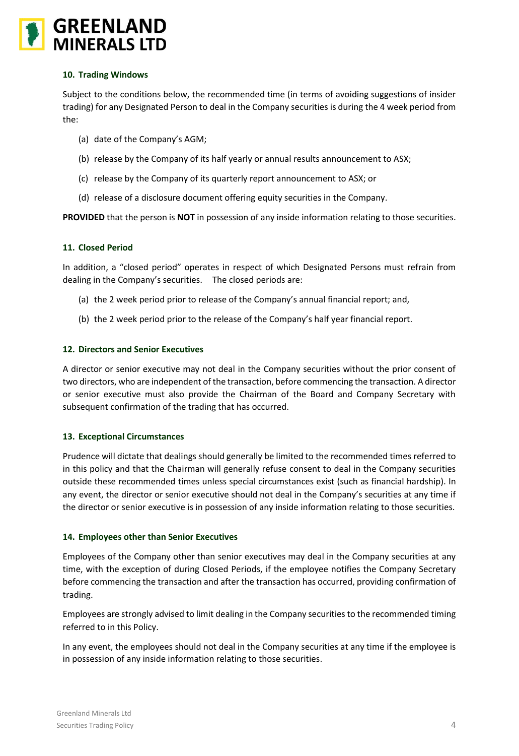# **GREENLAND**<br>MINERALS LTD

# **10. Trading Windows**

Subject to the conditions below, the recommended time (in terms of avoiding suggestions of insider trading) for any Designated Person to deal in the Company securities is during the 4 week period from the:

- (a) date of the Company's AGM;
- (b) release by the Company of its half yearly or annual results announcement to ASX;
- (c) release by the Company of its quarterly report announcement to ASX; or
- (d) release of a disclosure document offering equity securities in the Company.

**PROVIDED** that the person is **NOT** in possession of any inside information relating to those securities.

# **11. Closed Period**

In addition, a "closed period" operates in respect of which Designated Persons must refrain from dealing in the Company's securities. The closed periods are:

- (a) the 2 week period prior to release of the Company's annual financial report; and,
- (b) the 2 week period prior to the release of the Company's half year financial report.

# **12. Directors and Senior Executives**

A director or senior executive may not deal in the Company securities without the prior consent of two directors, who are independent of the transaction, before commencing the transaction. A director or senior executive must also provide the Chairman of the Board and Company Secretary with subsequent confirmation of the trading that has occurred.

# **13. Exceptional Circumstances**

Prudence will dictate that dealings should generally be limited to the recommended times referred to in this policy and that the Chairman will generally refuse consent to deal in the Company securities outside these recommended times unless special circumstances exist (such as financial hardship). In any event, the director or senior executive should not deal in the Company's securities at any time if the director or senior executive is in possession of any inside information relating to those securities.

# **14. Employees other than Senior Executives**

Employees of the Company other than senior executives may deal in the Company securities at any time, with the exception of during Closed Periods, if the employee notifies the Company Secretary before commencing the transaction and after the transaction has occurred, providing confirmation of trading.

Employees are strongly advised to limit dealing in the Company securities to the recommended timing referred to in this Policy.

In any event, the employees should not deal in the Company securities at any time if the employee is in possession of any inside information relating to those securities.